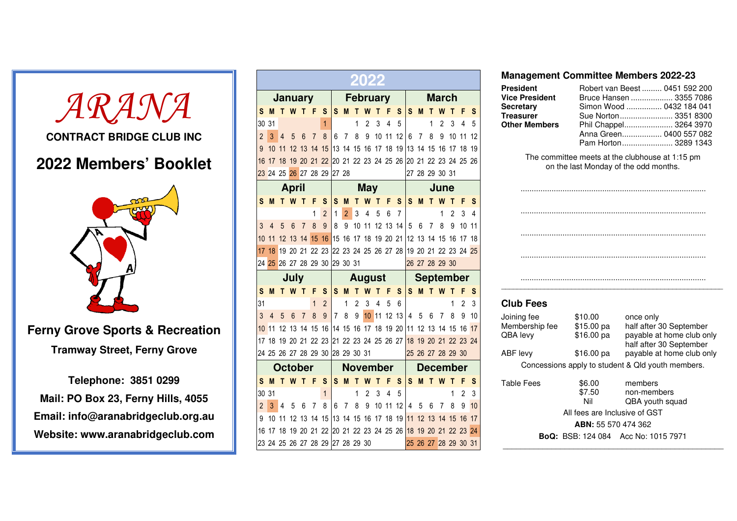# *ARANA***CONTRACT BRIDGE CLUB INC 2022 Members' BookletFerny Grove Sports & Recreation Tramway Street, Ferny Grove Telephone: 3851 0299 Mail: PO Box 23, Ferny Hills, 4055 Email: info@aranabridgeclub.org.au Website: www.aranabridgeclub.com**

#### **Management Committee Members 2022-23**

| <b>President</b>      | Robert van Beest  0451 592 200                                                           |  |
|-----------------------|------------------------------------------------------------------------------------------|--|
| <b>Vice President</b> | Bruce Hansen  3355 7086                                                                  |  |
| <b>Secretary</b>      | Simon Wood  0432 184 041                                                                 |  |
| <b>Treasurer</b>      | Sue Norton 3351 8300                                                                     |  |
| <b>Other Members</b>  | Phil Chappel 3264 3970                                                                   |  |
|                       | Anna Green 0400 557 082                                                                  |  |
|                       | Pam Horton 3289 1343                                                                     |  |
|                       | The committee meets at the clubhouse at 1:15 pm<br>on the last Monday of the odd months. |  |

....................................................................................

....................................................................................

....................................................................................

....................................................................................

 Membership fee \$15.00 pa half after 30 September QBA levy \$16.00 pa payable at home club only

ABF levy **\$16.00** pa payable at home club only Concessions apply to student & Qld youth members.

All fees are Inclusive of GST **ABN:** 55 570 474 362 **BoQ:** BSB: 124 084 Acc No: 1015 7971 \_\_\_\_\_\_\_\_\_\_\_\_\_\_\_\_\_\_\_\_\_\_\_\_\_\_\_\_\_\_\_\_\_\_\_\_\_\_\_\_\_\_\_\_\_\_\_\_\_\_

half after 30 September

Joining fee \$10.00 once only<br>Membership fee \$15.00 pa half after 3

Table Fees \$6.00 members \$7.50 non-members Nil **QBA** youth squad

**Club Fees**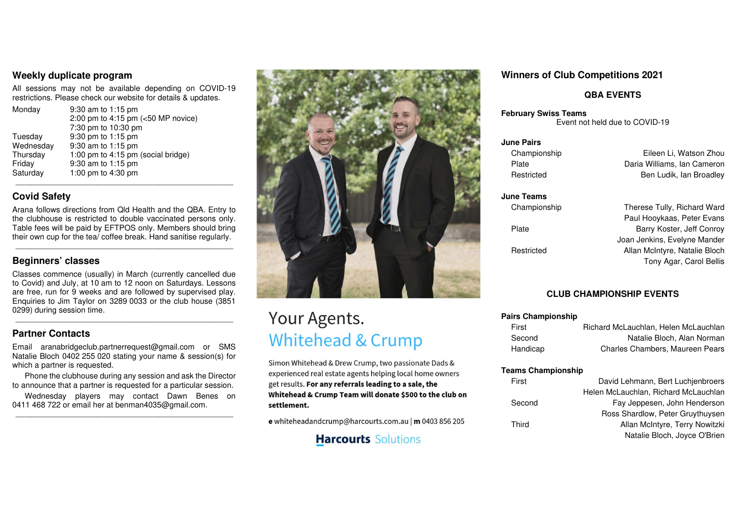#### **Weekly duplicate program**

All sessions may not be available depending on COVID-19 restrictions. Please check our website for details & updates.

| Monday    | 9:30 am to 1:15 pm<br>2:00 pm to 4:15 pm (<50 MP novice) |
|-----------|----------------------------------------------------------|
|           | 7:30 pm to 10:30 pm                                      |
| Tuesday   | 9:30 pm to 1:15 pm                                       |
| Wednesday | 9:30 am to 1:15 pm                                       |
| Thursday  | 1:00 pm to 4:15 pm (social bridge)                       |
| Friday    | 9:30 am to 1:15 pm                                       |
| Saturday  | 1:00 pm to 4:30 pm                                       |

#### **Covid Safety**

Arana follows directions from Qld Health and the QBA. Entry to the clubhouse is restricted to double vaccinated persons only. Table fees will be paid by EFTPOS only. Members should bring their own cup for the tea/ coffee break. Hand sanitise regularly.

\_\_\_\_\_\_\_\_\_\_\_\_\_\_\_\_\_\_\_\_\_\_\_\_\_\_\_\_\_\_\_\_\_\_\_\_\_\_\_\_\_\_\_\_\_\_\_\_\_\_\_\_\_\_\_\_

\_\_\_\_\_\_\_\_\_\_\_\_\_\_\_\_\_\_\_\_\_\_\_\_\_\_\_\_\_\_\_\_\_\_\_\_\_\_\_\_\_\_\_\_\_\_\_\_\_\_\_\_\_\_\_\_

#### **Beginners' classes**

Classes commence (usually) in March (currently cancelled due to Covid) and July, at 10 am to 12 noon on Saturdays. Lessons are free, run for 9 weeks and are followed by supervised play. Enquiries to Jim Taylor on 3289 0033 or the club house (3851 0299) during session time.

#### **Partner Contacts**

Email aranabridgeclub.partnerrequest@gmail.com or SMS Natalie Bloch 0402 255 020 stating your name & session(s) for which a partner is requested.

 Phone the clubhouse during any session and ask the Director to announce that a partner is requested for a particular session.

 Wednesday players may contact Dawn Benes on 0411 468 722 or email her at benman4035@gmail.com. \_\_\_\_\_\_\_\_\_\_\_\_\_\_\_\_\_\_\_\_\_\_\_\_\_\_\_\_\_\_\_\_\_\_\_\_\_\_\_\_\_\_\_\_\_\_\_\_\_\_\_\_\_\_\_\_



# Your Agents. **Whitehead & Crump**

Simon Whitehead & Drew Crump, two passionate Dads & experienced real estate agents helping local home owners get results. For any referrals leading to a sale, the Whitehead & Crump Team will donate \$500 to the club on settlement.

e whiteheadandcrump@harcourts.com.au | m 0403 856 205

### **Harcourts Solutions**

#### **Winners of Club Competitions 2021**

#### **QBA EVENTS**

**February Swiss Teams**Event not held due to COVID-19

**June Pairs** 

 Championship Eileen Li, Watson Zhou Plate Daria Williams, Ian Cameron Restricted **Ben Ludik, Ian Broadley** 

**June Teams**Championship

Therese Tully, Richard Ward Paul Hooykaas, Peter Evans Plate Barry Koster, Jeff Conroy Joan Jenkins, Evelyne Mander Restricted Allan McIntyre, Natalie Bloch Tony Agar, Carol Bellis

#### **CLUB CHAMPIONSHIP EVENTS**

#### **Pairs Championship**

| First    | Richard McLauchlan, Helen McLauchlan |
|----------|--------------------------------------|
| Second   | Natalie Bloch, Alan Norman           |
| Handicap | Charles Chambers, Maureen Pears      |

#### **Teams Championship**

| First  | David Lehmann, Bert Luchjenbroers    |
|--------|--------------------------------------|
|        | Helen McLauchlan, Richard McLauchlan |
| Second | Fay Jeppesen, John Henderson         |
|        | Ross Shardlow, Peter Gruythuysen     |
| Third  | Allan McIntyre, Terry Nowitzki       |
|        | Natalie Bloch, Joyce O'Brien         |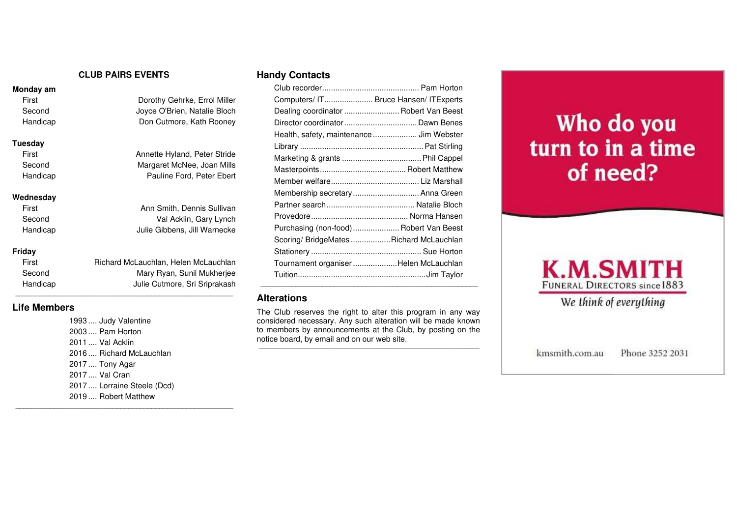#### **CLUB PAIRS EVENTS**

| Monday am<br>First<br>Second<br>Handicap | Dorothy Gehrke, Errol Miller<br>Joyce O'Brien, Natalie Bloch<br>Don Cutmore, Kath Rooney            |
|------------------------------------------|-----------------------------------------------------------------------------------------------------|
| Tuesday<br>First<br>Second<br>Handicap   | Annette Hyland, Peter Stride<br>Margaret McNee, Joan Mills<br>Pauline Ford, Peter Ebert             |
| Wednesday<br>First<br>Second<br>Handicap | Ann Smith, Dennis Sullivan<br>Val Acklin, Gary Lynch<br>Julie Gibbens, Jill Warnecke                |
| Friday<br>First<br>Second<br>Handicap    | Richard McLauchlan, Helen McLauchlan<br>Mary Ryan, Sunil Mukherjee<br>Julie Cutmore, Sri Sriprakash |

#### **Life Members**

 1993 .... Judy Valentine 2003 .... Pam Horton 2011 .... Val Acklin 2016 .... Richard McLauchlan 2017 .... Tony Agar 2017 .... Val Cran 2017 .... Lorraine Steele (Dcd) 2019 .... Robert Matthew

\_\_\_\_\_\_\_\_\_\_\_\_\_\_\_\_\_\_\_\_\_\_\_\_\_\_\_\_\_\_\_\_\_\_\_\_\_\_\_\_\_\_\_\_\_\_\_\_\_\_\_\_\_\_\_\_

#### **Handy Contacts**

| Computers/ IT Bruce Hansen/ ITExperts   |  |
|-----------------------------------------|--|
| Dealing coordinator  Robert Van Beest   |  |
|                                         |  |
| Health, safety, maintenance Jim Webster |  |
|                                         |  |
|                                         |  |
|                                         |  |
|                                         |  |
| Membership secretary  Anna Green        |  |
|                                         |  |
|                                         |  |
| Purchasing (non-food)  Robert Van Beest |  |
| Scoring/ BridgeMates Richard McLauchlan |  |
|                                         |  |
| Tournament organiser Helen McLauchlan   |  |
|                                         |  |

#### **Alterations**

The Club reserves the right to alter this program in any way considered necessary. Any such alteration will be made known to members by announcements at the Club, by posting on the notice board, by email and on our web site.

\_\_\_\_\_\_\_\_\_\_\_\_\_\_\_\_\_\_\_\_\_\_\_\_\_\_\_\_\_\_\_\_\_\_\_\_\_\_\_\_\_\_\_\_\_\_\_\_\_\_\_\_\_\_\_\_

# Who do you turn to in a time of need?



We think of everything

kmsmith.com.au

Phone 3252 2031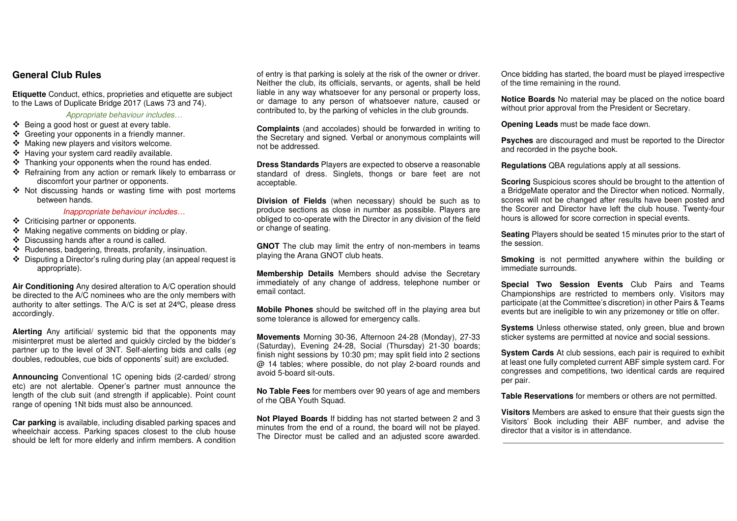#### **General Club Rules**

**Etiquette** Conduct, ethics, proprieties and etiquette are subject to the Laws of Duplicate Bridge 2017 (Laws 73 and 74).

Appropriate behaviour includes…

- ❖ Being a good host or guest at every table.<br>❖ Greating your opponents in a friendly manu
- ❖ Greeting your opponents in a friendly manner.<br>❖ Making new players and visitors welcome
- ❖ Making new players and visitors welcome.<br>❖ Having your system card readily available.
- ❖ Having your system card readily available.<br>❖ Thanking your opponents when the round h
- ❖ Thanking your opponents when the round has ended.<br>❖ Befraining from any action or remark likely to embarr
- ❖ Refraining from any action or remark likely to embarrass or<br>discomfort your partner or opponents discomfort your partner or opponents.
- ❖ Not discussing hands or wasting time with post mortems hetween hands between hands.

Inappropriate behaviour includes…

- ❖ Criticising partner or opponents.<br>❖ Making negative comments on h
- ❖ Making negative comments on bidding or play.<br>❖ Discussing bands after a round is called
- ❖ Discussing hands after a round is called.<br>❖ Budeness, badgering, threats, profanity i
- ❖ Rudeness, badgering, threats, profanity, insinuation.<br>❖ Disputing a Director's ruling during play (an appeal re
- ❖ Disputing a Director's ruling during play (an appeal request is appropriate) appropriate).

**Air Conditioning** Any desired alteration to A/C operation should be directed to the A/C nominees who are the only members with authority to alter settings. The A/C is set at 24⁰C, please dress accordingly.

**Alerting** Any artificial/ systemic bid that the opponents may misinterpret must be alerted and quickly circled by the bidder's partner up to the level of 3NT. Self-alerting bids and calls (eg doubles, redoubles, cue bids of opponents' suit) are excluded.

**Announcing** Conventional 1C opening bids (2-carded/ strong etc) are not alertable. Opener's partner must announce the length of the club suit (and strength if applicable). Point count range of opening 1Nt bids must also be announced.

**Car parking** is available, including disabled parking spaces and wheelchair access. Parking spaces closest to the club house should be left for more elderly and infirm members. A condition of entry is that parking is solely at the risk of the owner or driver. Neither the club, its officials, servants, or agents, shall be held liable in any way whatsoever for any personal or property loss, or damage to any person of whatsoever nature, caused or contributed to, by the parking of vehicles in the club grounds.

**Complaints** (and accolades) should be forwarded in writing to the Secretary and signed. Verbal or anonymous complaints will not be addressed.

**Dress Standards** Players are expected to observe a reasonable standard of dress. Singlets, thongs or bare feet are not acceptable.

**Division of Fields** (when necessary) should be such as to produce sections as close in number as possible. Players are obliged to co-operate with the Director in any division of the field or change of seating.

**GNOT** The club may limit the entry of non-members in teams playing the Arana GNOT club heats.

**Membership Details** Members should advise the Secretary immediately of any change of address, telephone number or email contact.

**Mobile Phones** should be switched off in the playing area but some tolerance is allowed for emergency calls.

**Movements** Morning 30-36, Afternoon 24-28 (Monday), 27-33 (Saturday), Evening 24-28, Social (Thursday) 21-30 boards; finish night sessions by 10:30 pm; may split field into 2 sections @ 14 tables; where possible, do not play 2-board rounds and avoid 5-board sit-outs.

**No Table Fees** for members over 90 years of age and members of rhe QBA Youth Squad.

**Not Played Boards** If bidding has not started between 2 and 3 minutes from the end of a round, the board will not be played. The Director must be called and an adjusted score awarded. Once bidding has started, the board must be played irrespective of the time remaining in the round.

**Notice Boards** No material may be placed on the notice board without prior approval from the President or Secretary.

**Opening Leads** must be made face down.

**Psyches** are discouraged and must be reported to the Director and recorded in the psyche book.

**Regulations** QBA regulations apply at all sessions.

**Scoring** Suspicious scores should be brought to the attention of a BridgeMate operator and the Director when noticed. Normally, scores will not be changed after results have been posted and the Scorer and Director have left the club house. Twenty-four hours is allowed for score correction in special events.

**Seating** Players should be seated 15 minutes prior to the start of the session.

**Smoking** is not permitted anywhere within the building or immediate surrounds.

**Special Two Session Events** Club Pairs and Teams Championships are restricted to members only. Visitors may participate (at the Committee's discretion) in other Pairs & Teams events but are ineligible to win any prizemoney or title on offer.

**Systems** Unless otherwise stated, only green, blue and brownsticker systems are permitted at novice and social sessions.

**System Cards** At club sessions, each pair is required to exhibit at least one fully completed current ABF simple system card. For congresses and competitions, two identical cards are required per pair.

**Table Reservations** for members or others are not permitted.

**Visitors** Members are asked to ensure that their guests sign the Visitors' Book including their ABF number, and advise the director that a visitor is in attendance.

\_\_\_\_\_\_\_\_\_\_\_\_\_\_\_\_\_\_\_\_\_\_\_\_\_\_\_\_\_\_\_\_\_\_\_\_\_\_\_\_\_\_\_\_\_\_\_\_\_\_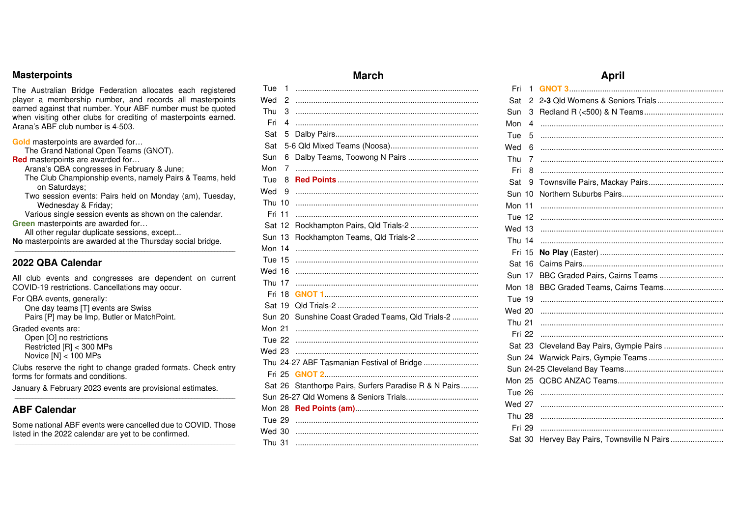#### **Masterpoints**

The Australian Bridge Federation allocates each registered player a membership number, and records all masterpoints earned against that number. Your ABF number must be quoted when visiting other clubs for crediting of masterpoints earned. Arana's ABF club number is 4-503.

**Gold** masterpoints are awarded for…

The Grand National Open Teams (GNOT).

**Red** masterpoints are awarded for…

Arana's QBA congresses in February & June;

 The Club Championship events, namely Pairs & Teams, held on Saturdays;

 Two session events: Pairs held on Monday (am), Tuesday, Wednesday & Friday;

 Various single session events as shown on the calendar. **Green** masterpoints are awarded for…

All other regular duplicate sessions, except...

**No** masterpoints are awarded at the Thursday social bridge.

#### **2022 QBA Calendar**

All club events and congresses are dependent on current COVID-19 restrictions. Cancellations may occur.

\_\_\_\_\_\_\_\_\_\_\_\_\_\_\_\_\_\_\_\_\_\_\_\_\_\_\_\_\_\_\_\_\_\_\_\_\_\_\_\_\_\_\_\_\_\_\_\_\_\_\_\_\_\_\_\_\_\_\_\_\_\_\_\_\_\_\_\_\_\_\_\_\_\_\_

For QBA events, generally: One day teams [T] events are Swiss Pairs [P] may be Imp, Butler or MatchPoint.

Graded events are:

 Open [O] no restrictions Restricted [R] < 300 MPs Novice [N] < 100 MPs

Clubs reserve the right to change graded formats. Check entry forms for formats and conditions.

 $\mathcal{L}_\mathcal{L} = \{ \mathcal{L}_\mathcal{L} = \{ \mathcal{L}_\mathcal{L} = \{ \mathcal{L}_\mathcal{L} = \{ \mathcal{L}_\mathcal{L} = \{ \mathcal{L}_\mathcal{L} = \{ \mathcal{L}_\mathcal{L} = \{ \mathcal{L}_\mathcal{L} = \{ \mathcal{L}_\mathcal{L} = \{ \mathcal{L}_\mathcal{L} = \{ \mathcal{L}_\mathcal{L} = \{ \mathcal{L}_\mathcal{L} = \{ \mathcal{L}_\mathcal{L} = \{ \mathcal{L}_\mathcal{L} = \{ \mathcal{L}_\mathcal{$ 

January & February 2023 events are provisional estimates.

#### **ABF Calendar**

Some national ABF events were cancelled due to COVID. Those listed in the 2022 calendar are yet to be confirmed.

#### **March**

| Tue           | $\mathbf{1}$ |                                                |
|---------------|--------------|------------------------------------------------|
| Wed           | 2            |                                                |
| Thu           | 3            |                                                |
| Fri           | 4            |                                                |
| Sat           | 5            |                                                |
| Sat           |              |                                                |
| Sun           | 6            | Dalby Teams, Toowong N Pairs                   |
| Mon           | 7            |                                                |
| Tue           | 8            |                                                |
| Wed           | 9            |                                                |
| Thu 10        |              |                                                |
| Fri 11        |              |                                                |
| Sat 12        |              |                                                |
| <b>Sun 13</b> |              | Rockhampton Teams, Qld Trials-2                |
| Mon 14        |              |                                                |
| Tue 15        |              |                                                |
| Wed 16        |              |                                                |
| <b>Thu 17</b> |              |                                                |
| Fri 18        |              |                                                |
| Sat 19        |              |                                                |
| <b>Sun 20</b> |              | Sunshine Coast Graded Teams, Qld Trials-2      |
| Mon 21        |              |                                                |
| Tue 22        |              |                                                |
| Wed 23        |              |                                                |
|               |              | Thu 24-27 ABF Tasmanian Festival of Bridge     |
| Fri 25        |              |                                                |
| Sat 26        |              | Stanthorpe Pairs, Surfers Paradise R & N Pairs |
|               |              |                                                |
| Mon 28        |              |                                                |
| <b>Tue 29</b> |              |                                                |
| Wed 30        |              |                                                |
| Thu 31        |              |                                                |
|               |              |                                                |

#### **April**  Fri 1 **GNOT 3** ...................................................................... Sat 2 2**-3** Qld Womens & Seniors Trials .............................. Sun 3 Redland R (<500) & N Teams .................................... Mon 4 ................................................................................... Tue 5 ................................................................................... Wed 6 ................................................................................... Thu 7 ................................................................................... Fri 8 ................................................................................... Sat 9 Townsville Pairs, Mackay Pairs .................................. Sun 10 Northern Suburbs Pairs .............................................. Mon 11 ................................................................................... Tue 12 ................................................................................... Wed 13 ................................................................................... Thu 14 ................................................................................... Fri 15 **No Play** (Easter) ........................................................ Sat 16 Cairns Pairs ................................................................ Sun 17 BBC Graded Pairs, Cairns Teams ............................. Mon 18 BBC Graded Teams, Cairns Teams ........................... Tue 19 ................................................................................... Wed 20 ................................................................................... Thu 21 ................................................................................... Fri 22 ................................................................................... Sat 23 Cleveland Bay Pairs, Gympie Pairs ........................... Sun 24 Warwick Pairs, Gympie Teams .................................. Sun 24-25 Cleveland Bay Teams ............................................. Mon 25 QCBC ANZAC Teams ................................................ Tue 26 ................................................................................... Wed 27 ................................................................................... Thu 28 ...................................................................................

 Fri 29 ................................................................................... Sat 30 Hervey Bay Pairs, Townsville N Pairs ........................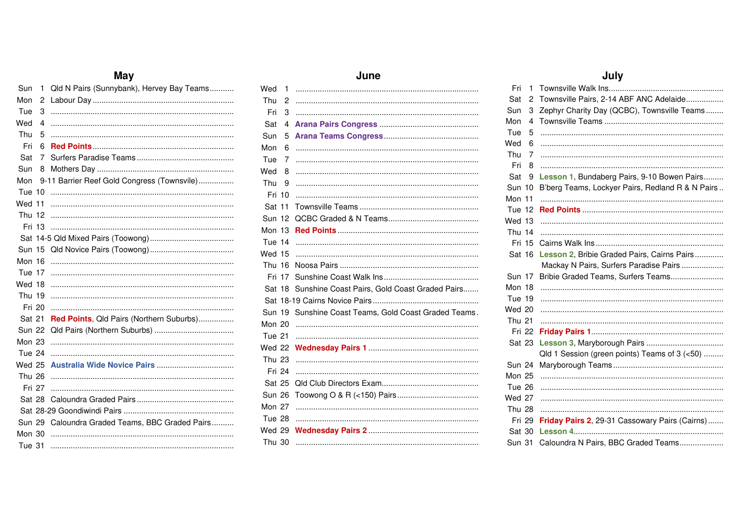#### May

| Sun           | 1      | Qld N Pairs (Sunnybank), Hervey Bay Teams   |
|---------------|--------|---------------------------------------------|
| Mon           | 2      |                                             |
| Tue           | 3      |                                             |
| Wed           | 4      |                                             |
| Thu           | 5      |                                             |
| Fri           | 6      |                                             |
| Sat           | 7      |                                             |
| Sun           | 8      |                                             |
| Mon           |        | 9-11 Barrier Reef Gold Congress (Townsvile) |
| Tue 10        |        |                                             |
| Wed 11        |        |                                             |
| <b>Thu 12</b> |        |                                             |
|               | Fri 13 |                                             |
|               |        |                                             |
| <b>Sun 15</b> |        |                                             |
| Mon 16        |        |                                             |
| Tue 17        |        |                                             |
| Wed 18        |        |                                             |
| <b>Thu 19</b> |        |                                             |
| Fri 20        |        |                                             |
| Sat 21        |        | Red Points, Qld Pairs (Northern Suburbs)    |
| <b>Sun 22</b> |        |                                             |
| Mon 23        |        |                                             |
| Tue 24        |        |                                             |
| <b>Wed 25</b> |        |                                             |
| <b>Thu 26</b> |        |                                             |
| Fri 27        |        |                                             |
| Sat 28        |        |                                             |
|               |        |                                             |
| <b>Sun 29</b> |        | Caloundra Graded Teams, BBC Graded Pairs    |
| Mon 30        |        |                                             |
| Tue 31        |        |                                             |

| Wed           | 1 |                                                |
|---------------|---|------------------------------------------------|
| Thu           | 2 |                                                |
| Fri           | 3 |                                                |
| Sat           | 4 |                                                |
| Sun           | 5 |                                                |
| Mon           | 6 |                                                |
| Tue           | 7 |                                                |
| Wed           | 8 |                                                |
| Thu           | 9 |                                                |
| Fri 10        |   |                                                |
| Sat 11        |   |                                                |
| Sun 12        |   |                                                |
| Mon $13$      |   |                                                |
| Tue 14        |   |                                                |
| Wed 15        |   |                                                |
| Thu 16        |   |                                                |
| Fri 17        |   |                                                |
| Sat 18        |   | Sunshine Coast Pairs, Gold Coast Graded Pairs  |
|               |   |                                                |
| Sun 19        |   | Sunshine Coast Teams, Gold Coast Graded Teams. |
| Mon 20        |   |                                                |
| Tue 21        |   |                                                |
| Wed 22        |   |                                                |
| Thu 23        |   |                                                |
| Fri 24        |   |                                                |
| <b>Sat 25</b> |   |                                                |
| <b>Sun 26</b> |   |                                                |
| <b>Mon 27</b> |   |                                                |
| Tue 28        |   |                                                |
| Wed 29        |   |                                                |
| Thu 30        |   |                                                |
|               |   |                                                |

#### July 2 Townsville Pairs, 2-14 ABF ANC Adelaide................. Sat Zephyr Charity Day (QCBC), Townsville Teams........ Sun 3 Tue<sub>5</sub> Sat 9 Lesson 1, Bundaberg Pairs, 9-10 Bowen Pairs......... Sun 10 B'berg Teams, Lockver Pairs, Redland R & N Pairs... Sat 16 Lesson 2, Bribie Graded Pairs, Cairns Pairs............. Mackay N Pairs, Surfers Paradise Pairs ................... Sun 17 Bribie Graded Teams, Surfers Teams......................... Qld 1 Session (green points) Teams of  $3$  ( $<50$ ) ........ Fri 29 Friday Pairs 2, 29-31 Cassowary Pairs (Cairns)....... Sun 31 Caloundra N Pairs, BBC Graded Teams....................

#### June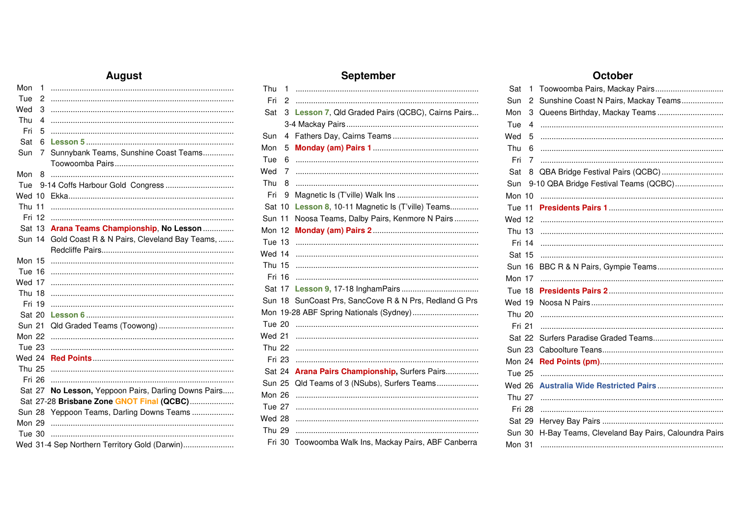# **August**

| Mon           | 1 |                                               |
|---------------|---|-----------------------------------------------|
| Tue           | 2 |                                               |
| Wed           | 3 |                                               |
| Thu           | 4 |                                               |
| Fri           | 5 |                                               |
| Sat           | 6 |                                               |
| Sun           | 7 | Sunnybank Teams, Sunshine Coast Teams         |
|               |   |                                               |
| Mon           | 8 |                                               |
| Tue           |   | 9-14 Coffs Harbour Gold Congress              |
| Wed 10        |   |                                               |
| <b>Thu 11</b> |   |                                               |
| Fri 12        |   |                                               |
| Sat 13        |   | Arana Teams Championship, No Lesson           |
| <b>Sun 14</b> |   | Gold Coast R & N Pairs, Cleveland Bay Teams,  |
|               |   |                                               |
| Mon 15        |   |                                               |
| Tue 16        |   |                                               |
| Wed 17        |   |                                               |
| Thu 18        |   |                                               |
| Fri 19        |   |                                               |
| <b>Sat 20</b> |   |                                               |
| <b>Sun 21</b> |   | Qld Graded Teams (Toowong)                    |
| Mon 22        |   |                                               |
| Tue 23        |   |                                               |
| Wed 24        |   |                                               |
| Thu 25        |   |                                               |
| Fri 26        |   |                                               |
| Sat 27        |   | No Lesson, Yeppoon Pairs, Darling Downs Pairs |
|               |   | Sat 27-28 Brisbane Zone GNOT Final (QCBC)     |
| <b>Sun 28</b> |   | Yeppoon Teams, Darling Downs Teams            |
| Mon 29        |   |                                               |
| Tue 30        |   |                                               |
|               |   | Wed 31-4 Sep Northern Territory Gold (Darwin) |
|               |   |                                               |

| September     |   |                                                 |
|---------------|---|-------------------------------------------------|
| Thu           | 1 |                                                 |
| Fri           | 2 |                                                 |
| Sat           | 3 | Lesson 7, Qld Graded Pairs (QCBC), Cairns Pairs |
|               |   |                                                 |
| Sun           | 4 |                                                 |
| Mon           | 5 |                                                 |
| Tue           | 6 |                                                 |
| Wed           | 7 |                                                 |
| Thu           | 8 |                                                 |
| Fri           | 9 |                                                 |
| Sat 10        |   | Lesson 8, 10-11 Magnetic Is (T'ville) Teams     |
| <b>Sun 11</b> |   | Noosa Teams, Dalby Pairs, Kenmore N Pairs       |
| Mon 12        |   |                                                 |
| Tue 13        |   |                                                 |
| Wed 14        |   |                                                 |
| Thu 15        |   |                                                 |
| Fri 16        |   |                                                 |
| Sat 17        |   |                                                 |
| Sun 18        |   | SunCoast Prs, SancCove R & N Prs, Redland G Prs |
|               |   | Mon 19-28 ABF Spring Nationals (Sydney)         |
| Tue 20        |   |                                                 |
| <b>Wed 21</b> |   |                                                 |
| Thu 22        |   |                                                 |
| Fri 23        |   |                                                 |
| Sat 24        |   | Arana Pairs Championship, Surfers Pairs         |
| <b>Sun 25</b> |   | Qld Teams of 3 (NSubs), Surfers Teams           |
| Mon 26        |   |                                                 |
| Tue 27        |   |                                                 |
| Wed 28        |   |                                                 |
| Thu 29        |   |                                                 |
| Fri 30        |   | Toowoomba Walk Ins, Mackay Pairs, ABF Canberra  |

# October

| Sat           | 1 | Toowoomba Pairs, Mackay Pairs                     |
|---------------|---|---------------------------------------------------|
| Sun           | 2 | Sunshine Coast N Pairs, Mackay Teams              |
| Mon           | 3 | Queens Birthday, Mackay Teams                     |
| Tue           | 4 |                                                   |
| Wed           | 5 |                                                   |
| Thu           | 6 |                                                   |
| Fri           | 7 |                                                   |
| Sat           | 8 | QBA Bridge Festival Pairs (QCBC)                  |
| Sun           |   | 9-10 QBA Bridge Festival Teams (QCBC)             |
| Mon 10        |   |                                                   |
| Tue 11        |   |                                                   |
| Wed 12        |   |                                                   |
| <b>Thu 13</b> |   |                                                   |
| Fri 14        |   |                                                   |
| Sat 15        |   |                                                   |
| <b>Sun 16</b> |   | BBC R & N Pairs, Gympie Teams                     |
| Mon 17        |   |                                                   |
| Tue 18        |   |                                                   |
| Wed 19        |   |                                                   |
| Thu 20        |   |                                                   |
| Fri 21        |   |                                                   |
| <b>Sat 22</b> |   |                                                   |
| <b>Sun 23</b> |   |                                                   |
| Mon 24        |   |                                                   |
| Tue 25        |   |                                                   |
| <b>Wed 26</b> |   |                                                   |
| Thu 27        |   |                                                   |
| Fri 28        |   |                                                   |
| Sat 29        |   |                                                   |
| <b>Sun 30</b> |   | H-Bay Teams, Cleveland Bay Pairs, Caloundra Pairs |
| Mon 31        |   |                                                   |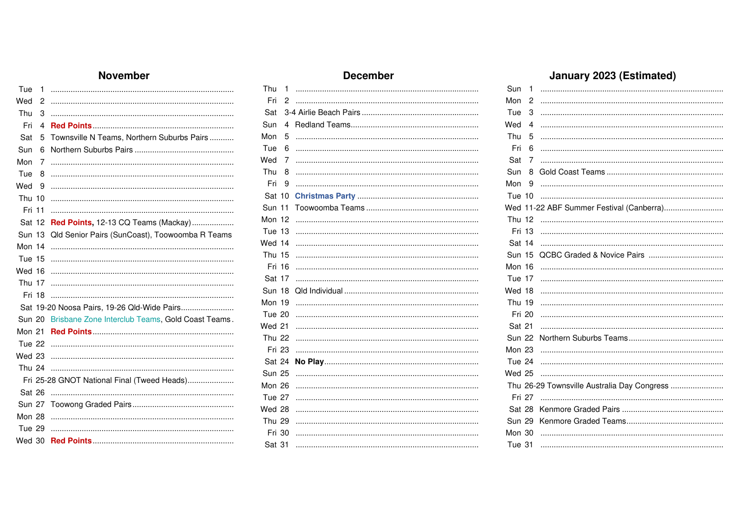### November

| Tue           | 1 |                                                  |
|---------------|---|--------------------------------------------------|
| Wed           | 2 |                                                  |
| Thu           | 3 |                                                  |
| Fri           | 4 |                                                  |
| Sat           | 5 | Townsville N Teams, Northern Suburbs Pairs       |
| Sun           | 6 |                                                  |
| Mon           | 7 |                                                  |
| Tue           | 8 |                                                  |
| Wed           | 9 |                                                  |
| <b>Thu 10</b> |   |                                                  |
| Fri 11        |   |                                                  |
| Sat 12        |   | Red Points, 12-13 CQ Teams (Mackay)              |
| Sun 13        |   | Qld Senior Pairs (SunCoast), Toowoomba R Teams   |
| Mon 14        |   |                                                  |
| Tue 15        |   |                                                  |
| Wed 16        |   |                                                  |
| <b>Thu 17</b> |   |                                                  |
| Fri 18        |   |                                                  |
|               |   | Sat 19-20 Noosa Pairs, 19-26 Qld-Wide Pairs      |
| <b>Sun 20</b> |   | Brisbane Zone Interclub Teams, Gold Coast Teams. |
| <b>Mon 21</b> |   |                                                  |
| Tue 22        |   |                                                  |
| <b>Wed 23</b> |   |                                                  |
| Thu 24        |   |                                                  |
|               |   | Fri 25-28 GNOT National Final (Tweed Heads)      |
| Sat 26        |   |                                                  |
| Sun 27        |   |                                                  |
| Mon 28        |   |                                                  |
| Tue 29        |   |                                                  |
| Wed 30        |   |                                                  |

| <b>December</b> |                |  |  |  |  |  |  |  |  |
|-----------------|----------------|--|--|--|--|--|--|--|--|
| Thu             | $\overline{1}$ |  |  |  |  |  |  |  |  |
| Fri             | 2              |  |  |  |  |  |  |  |  |
| Sat             |                |  |  |  |  |  |  |  |  |
| Sun             | 4              |  |  |  |  |  |  |  |  |
| Mon             | 5              |  |  |  |  |  |  |  |  |
| Tue             | 6              |  |  |  |  |  |  |  |  |
| Wed             | 7              |  |  |  |  |  |  |  |  |
| Thu             | 8              |  |  |  |  |  |  |  |  |
| Fri             | 9              |  |  |  |  |  |  |  |  |
| Sat 10          |                |  |  |  |  |  |  |  |  |
| Sun 11          |                |  |  |  |  |  |  |  |  |
| Mon 12          |                |  |  |  |  |  |  |  |  |
| Tue 13          |                |  |  |  |  |  |  |  |  |
| Wed 14          |                |  |  |  |  |  |  |  |  |
| <b>Thu 15</b>   |                |  |  |  |  |  |  |  |  |
| Fri 16          |                |  |  |  |  |  |  |  |  |
| Sat 17          |                |  |  |  |  |  |  |  |  |
| Sun 18          |                |  |  |  |  |  |  |  |  |
| Mon 19          |                |  |  |  |  |  |  |  |  |
| Tue 20          |                |  |  |  |  |  |  |  |  |
| <b>Wed 21</b>   |                |  |  |  |  |  |  |  |  |
| <b>Thu 22</b>   |                |  |  |  |  |  |  |  |  |
| Fri 23          |                |  |  |  |  |  |  |  |  |
| Sat 24          |                |  |  |  |  |  |  |  |  |
| <b>Sun 25</b>   |                |  |  |  |  |  |  |  |  |
| Mon 26          |                |  |  |  |  |  |  |  |  |
| Tue 27          |                |  |  |  |  |  |  |  |  |
| Wed 28          |                |  |  |  |  |  |  |  |  |
| <b>Thu 29</b>   |                |  |  |  |  |  |  |  |  |
| Fri 30          |                |  |  |  |  |  |  |  |  |
| Sat 31          |                |  |  |  |  |  |  |  |  |

# January 2023 (Estimated)

| Sun           | 1 |                                             |
|---------------|---|---------------------------------------------|
| Mon           | 2 |                                             |
| Tue           | 3 |                                             |
| Wed           | 4 |                                             |
| Thu           | 5 |                                             |
| Fri           | 6 |                                             |
| Sat           | 7 |                                             |
| Sun           | 8 |                                             |
| Mon           | 9 |                                             |
| Tue 10        |   |                                             |
|               |   | Wed 11-22 ABF Summer Festival (Canberra)    |
| <b>Thu 12</b> |   |                                             |
| Fri 13        |   |                                             |
| Sat 14        |   |                                             |
| <b>Sun 15</b> |   |                                             |
| Mon 16        |   |                                             |
| Tue 17        |   |                                             |
| Wed 18        |   |                                             |
| <b>Thu 19</b> |   |                                             |
| Fri 20        |   |                                             |
| Sat 21        |   |                                             |
| Sun 22        |   |                                             |
| Mon 23        |   |                                             |
| Tue 24        |   |                                             |
| <b>Wed 25</b> |   |                                             |
|               |   | Thu 26-29 Townsville Australia Day Congress |
| Fri 27        |   |                                             |
| <b>Sat 28</b> |   |                                             |
| Sun 29        |   |                                             |
| Mon 30        |   |                                             |
| Tue 31        |   |                                             |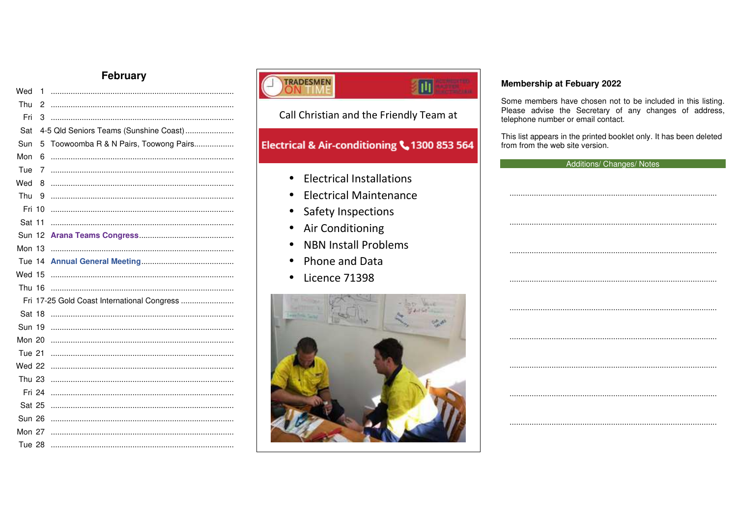#### February

| Wed           | 1 |                                             |
|---------------|---|---------------------------------------------|
| Thu           | 2 |                                             |
| Fri           | 3 |                                             |
| Sat           |   | 4-5 Qld Seniors Teams (Sunshine Coast)      |
| Sun           | 5 | Toowoomba R & N Pairs, Toowong Pairs        |
| Mon           | 6 |                                             |
| Tue           | 7 |                                             |
| Wed           | 8 |                                             |
| Thu           | 9 |                                             |
| Fri 10        |   |                                             |
| Sat 11        |   |                                             |
| <b>Sun 12</b> |   |                                             |
| Mon 13        |   |                                             |
| Tue 14        |   |                                             |
| Wed 15        |   |                                             |
| Thu 16        |   |                                             |
|               |   | Fri 17-25 Gold Coast International Congress |
| Sat 18        |   |                                             |
| <b>Sun 19</b> |   |                                             |
| <b>Mon 20</b> |   |                                             |
| Tue 21        |   |                                             |
| Wed 22        |   |                                             |
| <b>Thu 23</b> |   |                                             |
| Fri 24        |   |                                             |
| Sat 25        |   |                                             |
| <b>Sun 26</b> |   |                                             |
| <b>Mon 27</b> |   |                                             |
| Tue 28        |   |                                             |



#### **Membership at Febuary 2022**

Some members have chosen not to be included in this listing. Please advise the Secretary of any changes of address,<br>telephone number or email contact.

This list appears in the printed booklet only. It has been deleted from from the web site version.

| Additions/ Changes/ Notes |
|---------------------------|
|                           |
|                           |
|                           |
|                           |
|                           |
|                           |
|                           |
|                           |
|                           |
|                           |